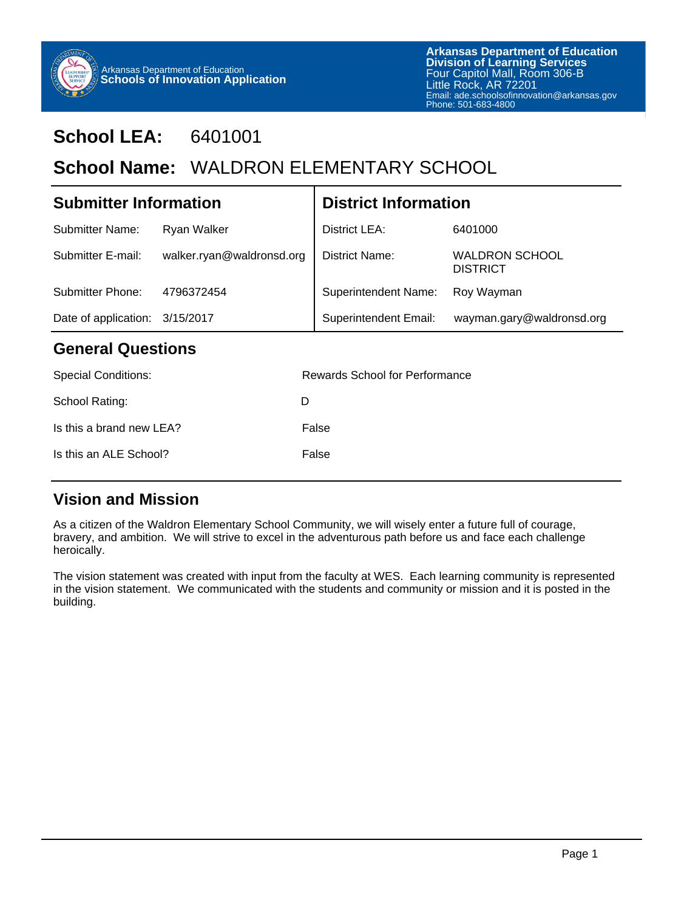

Is this a brand new LEA? False

Is this an ALE School? False

## **School LEA:** 6401001

# School Name: WALDRON ELEMENTARY SCHOOL

| <b>Submitter Information</b>   |                           | <b>District Information</b>    |                                          |  |  |  |
|--------------------------------|---------------------------|--------------------------------|------------------------------------------|--|--|--|
| Submitter Name:                | Ryan Walker               | District LEA:                  | 6401000                                  |  |  |  |
| Submitter E-mail:              | walker.ryan@waldronsd.org | <b>District Name:</b>          | <b>WALDRON SCHOOL</b><br><b>DISTRICT</b> |  |  |  |
| Submitter Phone:               | 4796372454                | <b>Superintendent Name:</b>    | Roy Wayman                               |  |  |  |
| Date of application: 3/15/2017 |                           | <b>Superintendent Email:</b>   | wayman.gary@waldronsd.org                |  |  |  |
| <b>General Questions</b>       |                           |                                |                                          |  |  |  |
| <b>Special Conditions:</b>     |                           | Rewards School for Performance |                                          |  |  |  |
| School Rating:                 | D                         |                                |                                          |  |  |  |
|                                |                           |                                |                                          |  |  |  |

## **Vision and Mission**

As a citizen of the Waldron Elementary School Community, we will wisely enter a future full of courage, bravery, and ambition. We will strive to excel in the adventurous path before us and face each challenge heroically.

The vision statement was created with input from the faculty at WES. Each learning community is represented in the vision statement. We communicated with the students and community or mission and it is posted in the building.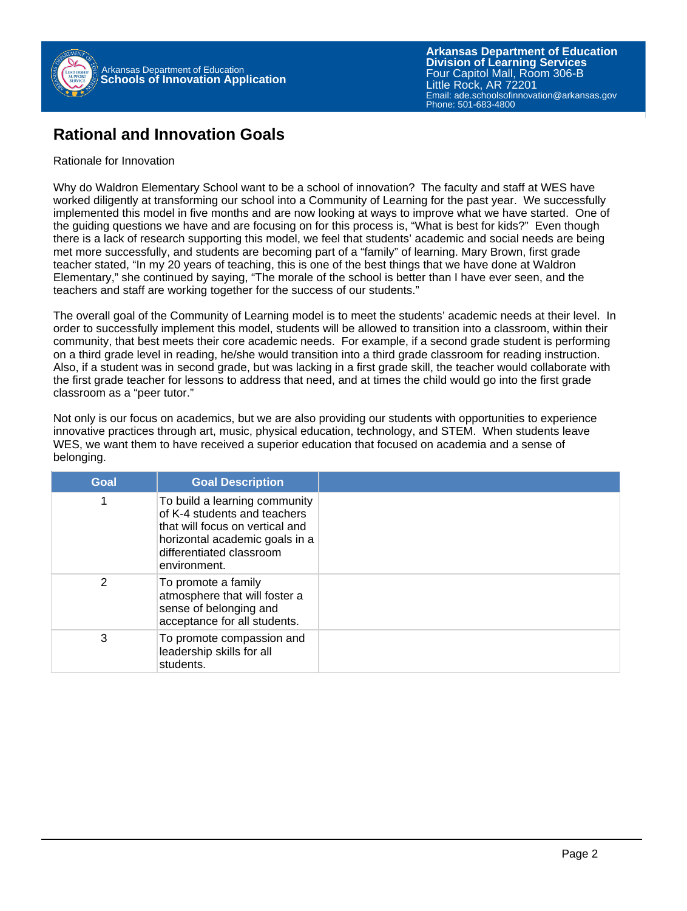

**Arkansas Department of Education** Email: ade.schoolsofinnovation@arkansas.gov Phone: 501-683-4800**Division of Learning Services** Four Capitol Mall, Room 306-B Little Rock, AR 72201

#### **Rational and Innovation Goals**

#### Rationale for Innovation

Why do Waldron Elementary School want to be a school of innovation? The faculty and staff at WES have worked diligently at transforming our school into a Community of Learning for the past year. We successfully implemented this model in five months and are now looking at ways to improve what we have started. One of the guiding questions we have and are focusing on for this process is, "What is best for kids?" Even though there is a lack of research supporting this model, we feel that students' academic and social needs are being met more successfully, and students are becoming part of a "family" of learning. Mary Brown, first grade teacher stated, "In my 20 years of teaching, this is one of the best things that we have done at Waldron Elementary," she continued by saying, "The morale of the school is better than I have ever seen, and the teachers and staff are working together for the success of our students."

The overall goal of the Community of Learning model is to meet the students' academic needs at their level. In order to successfully implement this model, students will be allowed to transition into a classroom, within their community, that best meets their core academic needs. For example, if a second grade student is performing on a third grade level in reading, he/she would transition into a third grade classroom for reading instruction. Also, if a student was in second grade, but was lacking in a first grade skill, the teacher would collaborate with the first grade teacher for lessons to address that need, and at times the child would go into the first grade classroom as a "peer tutor."

Not only is our focus on academics, but we are also providing our students with opportunities to experience innovative practices through art, music, physical education, technology, and STEM. When students leave WES, we want them to have received a superior education that focused on academia and a sense of belonging.

| <b>Goal</b> | <b>Goal Description</b>                                                                                                                                                        |  |
|-------------|--------------------------------------------------------------------------------------------------------------------------------------------------------------------------------|--|
|             | To build a learning community<br>of K-4 students and teachers<br>that will focus on vertical and<br>horizontal academic goals in a<br>differentiated classroom<br>environment. |  |
| 2           | To promote a family<br>atmosphere that will foster a<br>sense of belonging and<br>acceptance for all students.                                                                 |  |
| 3           | To promote compassion and<br>leadership skills for all<br>students.                                                                                                            |  |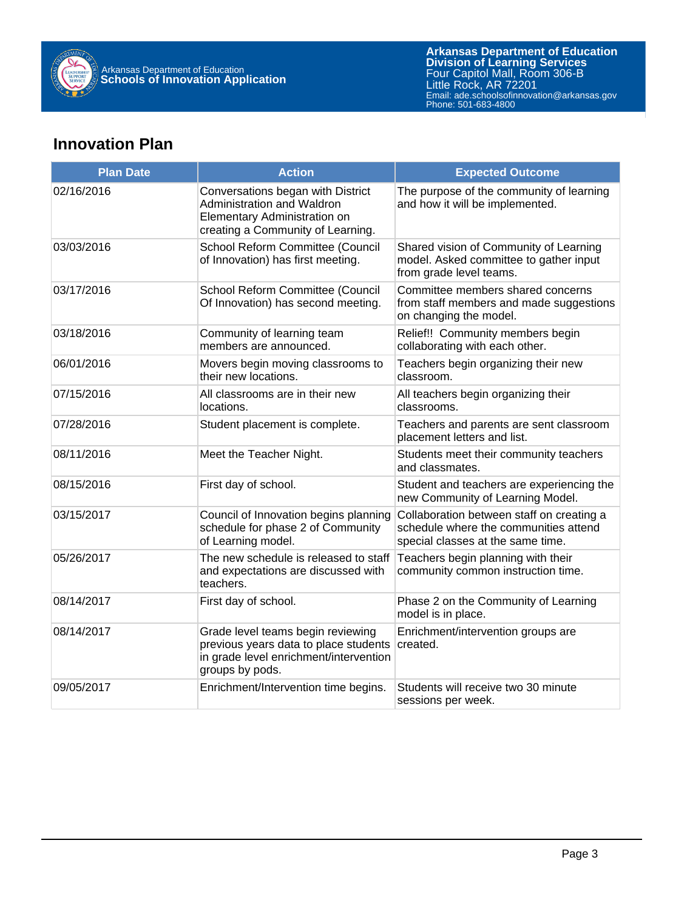

## **Innovation Plan**

| <b>Plan Date</b> | <b>Action</b>                                                                                                                           | <b>Expected Outcome</b>                                                                                                 |  |  |
|------------------|-----------------------------------------------------------------------------------------------------------------------------------------|-------------------------------------------------------------------------------------------------------------------------|--|--|
| 02/16/2016       | Conversations began with District<br>Administration and Waldron<br>Elementary Administration on<br>creating a Community of Learning.    | The purpose of the community of learning<br>and how it will be implemented.                                             |  |  |
| 03/03/2016       | School Reform Committee (Council<br>of Innovation) has first meeting.                                                                   | Shared vision of Community of Learning<br>model. Asked committee to gather input<br>from grade level teams.             |  |  |
| 03/17/2016       | School Reform Committee (Council<br>Of Innovation) has second meeting.                                                                  | Committee members shared concerns<br>from staff members and made suggestions<br>on changing the model.                  |  |  |
| 03/18/2016       | Community of learning team<br>members are announced.                                                                                    | Relief!! Community members begin<br>collaborating with each other.                                                      |  |  |
| 06/01/2016       | Movers begin moving classrooms to<br>their new locations.                                                                               | Teachers begin organizing their new<br>classroom.                                                                       |  |  |
| 07/15/2016       | All classrooms are in their new<br>locations.                                                                                           | All teachers begin organizing their<br>classrooms.                                                                      |  |  |
| 07/28/2016       | Student placement is complete.                                                                                                          | Teachers and parents are sent classroom<br>placement letters and list.                                                  |  |  |
| 08/11/2016       | Meet the Teacher Night.                                                                                                                 | Students meet their community teachers<br>and classmates.                                                               |  |  |
| 08/15/2016       | First day of school.                                                                                                                    | Student and teachers are experiencing the<br>new Community of Learning Model.                                           |  |  |
| 03/15/2017       | Council of Innovation begins planning<br>schedule for phase 2 of Community<br>of Learning model.                                        | Collaboration between staff on creating a<br>schedule where the communities attend<br>special classes at the same time. |  |  |
| 05/26/2017       | The new schedule is released to staff<br>and expectations are discussed with<br>teachers.                                               | Teachers begin planning with their<br>community common instruction time.                                                |  |  |
| 08/14/2017       | First day of school.                                                                                                                    | Phase 2 on the Community of Learning<br>model is in place.                                                              |  |  |
| 08/14/2017       | Grade level teams begin reviewing<br>previous years data to place students<br>in grade level enrichment/intervention<br>groups by pods. | Enrichment/intervention groups are<br>created.                                                                          |  |  |
| 09/05/2017       | Enrichment/Intervention time begins.                                                                                                    | Students will receive two 30 minute<br>sessions per week.                                                               |  |  |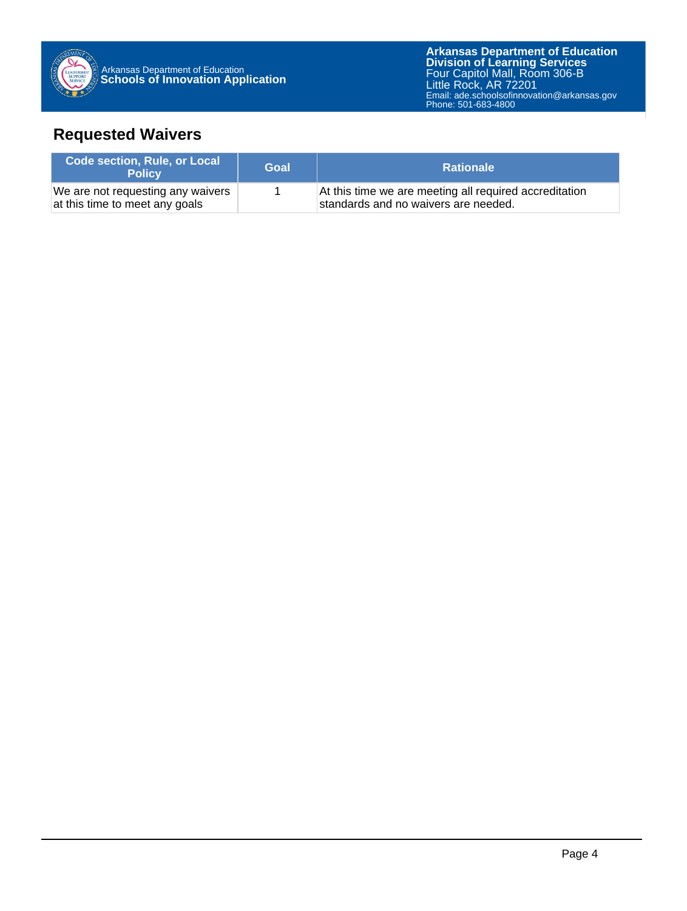

**Arkansas Department of Education** Email: ade.schoolsofinnovation@arkansas.gov **Division of Learning Services** Four Capitol Mall, Room 306-B Little Rock, AR 72201 Phone: 501-683-4800

## **Requested Waivers**

| <b>Code section, Rule, or Local</b><br><b>Policy</b>                | Goal | <b>Rationale</b>                                                                               |
|---------------------------------------------------------------------|------|------------------------------------------------------------------------------------------------|
| We are not requesting any waivers<br>at this time to meet any goals |      | At this time we are meeting all required accreditation<br>standards and no waivers are needed. |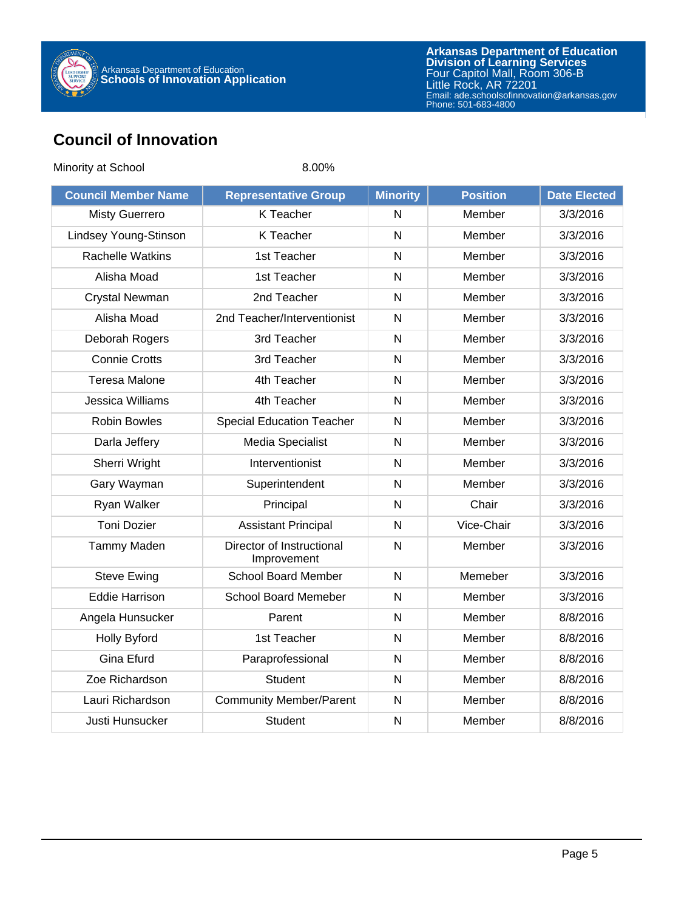

### **Council of Innovation**

| Minority at School         | 8.00%                                    |                         |                 |                     |
|----------------------------|------------------------------------------|-------------------------|-----------------|---------------------|
| <b>Council Member Name</b> | <b>Representative Group</b>              | <b>Minority</b>         | <b>Position</b> | <b>Date Elected</b> |
| <b>Misty Guerrero</b>      | K Teacher                                | N                       | Member          | 3/3/2016            |
| Lindsey Young-Stinson      | K Teacher                                | $\overline{N}$          | Member          | 3/3/2016            |
| <b>Rachelle Watkins</b>    | 1st Teacher                              | $\mathsf{N}$            | Member          | 3/3/2016            |
| Alisha Moad                | 1st Teacher                              | $\mathsf{N}$            | Member          | 3/3/2016            |
| <b>Crystal Newman</b>      | 2nd Teacher                              | N                       | Member          | 3/3/2016            |
| Alisha Moad                | 2nd Teacher/Interventionist              | $\mathsf{N}$            | Member          | 3/3/2016            |
| Deborah Rogers             | 3rd Teacher                              | $\overline{\mathsf{N}}$ | Member          | 3/3/2016            |
| <b>Connie Crotts</b>       | 3rd Teacher                              | $\mathsf{N}$            | Member          | 3/3/2016            |
| <b>Teresa Malone</b>       | 4th Teacher                              | $\mathsf{N}$            | Member          | 3/3/2016            |
| Jessica Williams           | 4th Teacher                              | $\overline{N}$          | Member          | 3/3/2016            |
| <b>Robin Bowles</b>        | <b>Special Education Teacher</b>         | $\mathsf{N}$            | Member          | 3/3/2016            |
| Darla Jeffery              | <b>Media Specialist</b>                  | N                       | Member          | 3/3/2016            |
| Sherri Wright              | Interventionist                          | $\mathsf{N}$            | Member          | 3/3/2016            |
| Gary Wayman                | Superintendent                           | $\mathsf{N}$            | Member          | 3/3/2016            |
| Ryan Walker                | Principal                                | $\mathsf{N}$            | Chair           | 3/3/2016            |
| <b>Toni Dozier</b>         | <b>Assistant Principal</b>               | N                       | Vice-Chair      | 3/3/2016            |
| Tammy Maden                | Director of Instructional<br>Improvement | N                       | Member          | 3/3/2016            |
| <b>Steve Ewing</b>         | <b>School Board Member</b>               | $\mathsf{N}$            | Memeber         | 3/3/2016            |
| <b>Eddie Harrison</b>      | School Board Memeber                     | $\mathsf{N}$            | Member          | 3/3/2016            |
| Angela Hunsucker           | Parent                                   | $\mathsf{N}$            | Member          | 8/8/2016            |
| <b>Holly Byford</b>        | 1st Teacher                              | $\mathsf{N}$            | Member          | 8/8/2016            |
| <b>Gina Efurd</b>          | Paraprofessional                         | $\overline{N}$          | Member          | 8/8/2016            |
| Zoe Richardson             | <b>Student</b>                           | $\mathsf{N}$            | Member          | 8/8/2016            |
| Lauri Richardson           | <b>Community Member/Parent</b>           | $\mathsf{N}$            | Member          | 8/8/2016            |
| Justi Hunsucker            | <b>Student</b>                           | $\overline{N}$          | Member          | 8/8/2016            |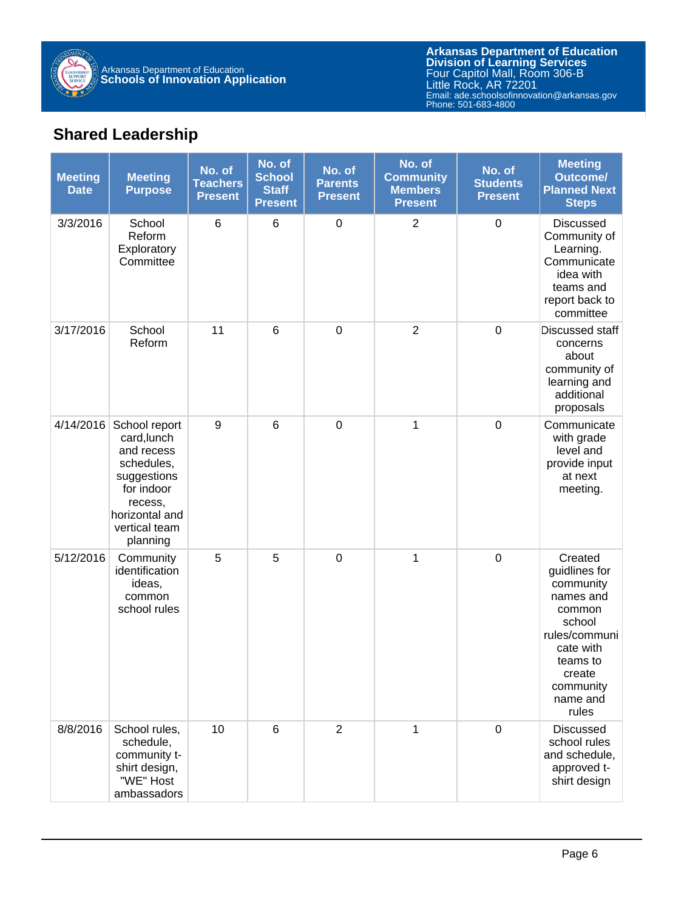

**Arkansas Department of Education** Email: ade.schoolsofinnovation@arkansas.gov **Division of Learning Services** Four Capitol Mall, Room 306-B Little Rock, AR 72201 Phone: 501-683-4800

## **Shared Leadership**

| <b>Meeting</b><br><b>Date</b> | <b>Meeting</b><br><b>Purpose</b>                                                                                                                | No. of<br><b>Teachers</b><br><b>Present</b> | No. of<br><b>School</b><br><b>Staff</b><br><b>Present</b> | No. of<br><b>Parents</b><br><b>Present</b> | No. of<br><b>Community</b><br><b>Members</b><br><b>Present</b> | No. of<br><b>Students</b><br><b>Present</b> | <b>Meeting</b><br><b>Outcome/</b><br><b>Planned Next</b><br><b>Steps</b>                                                                                     |
|-------------------------------|-------------------------------------------------------------------------------------------------------------------------------------------------|---------------------------------------------|-----------------------------------------------------------|--------------------------------------------|----------------------------------------------------------------|---------------------------------------------|--------------------------------------------------------------------------------------------------------------------------------------------------------------|
| 3/3/2016                      | School<br>Reform<br>Exploratory<br>Committee                                                                                                    | $\,6$                                       | 6                                                         | $\mathbf 0$                                | $\overline{2}$                                                 | $\mathbf 0$                                 | <b>Discussed</b><br>Community of<br>Learning.<br>Communicate<br>idea with<br>teams and<br>report back to<br>committee                                        |
| 3/17/2016                     | School<br>Reform                                                                                                                                | 11                                          | $6\phantom{1}6$                                           | $\pmb{0}$                                  | $\overline{2}$                                                 | $\mathbf 0$                                 | Discussed staff<br>concerns<br>about<br>community of<br>learning and<br>additional<br>proposals                                                              |
| 4/14/2016                     | School report<br>card, lunch<br>and recess<br>schedules,<br>suggestions<br>for indoor<br>recess,<br>horizontal and<br>vertical team<br>planning | 9                                           | 6                                                         | $\boldsymbol{0}$                           | 1                                                              | $\mathbf 0$                                 | Communicate<br>with grade<br>level and<br>provide input<br>at next<br>meeting.                                                                               |
| 5/12/2016                     | Community<br>identification<br>ideas,<br>common<br>school rules                                                                                 | 5                                           | 5                                                         | $\mathbf 0$                                | 1                                                              | $\mathbf 0$                                 | Created<br>guidlines for<br>community<br>names and<br>common<br>school<br>rules/communi<br>cate with<br>teams to<br>create<br>community<br>name and<br>rules |
| 8/8/2016                      | School rules,<br>schedule,<br>community t-<br>shirt design,<br>"WE" Host<br>ambassadors                                                         | 10                                          | 6                                                         | $\overline{2}$                             | 1                                                              | $\boldsymbol{0}$                            | <b>Discussed</b><br>school rules<br>and schedule,<br>approved t-<br>shirt design                                                                             |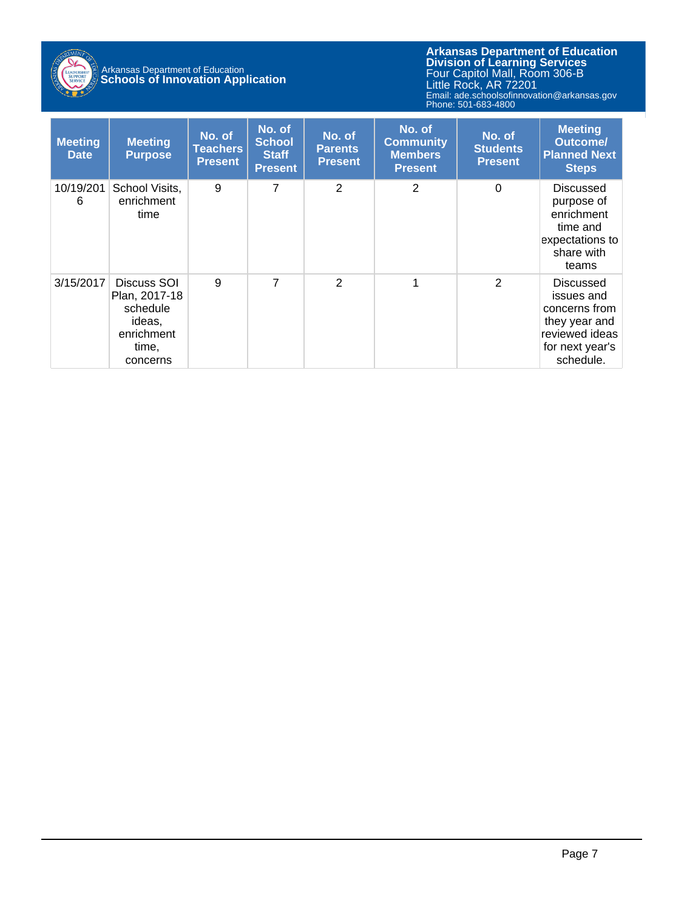

# Arkansas Department of Education **Schools of Innovation Application**

**Arkansas Department of Education** Email: ade.schoolsofinnovation@arkansas.gov **Division of Learning Services** Four Capitol Mall, Room 306-B Little Rock, AR 72201 Phone: 501-683-4800

| <b>Meeting</b><br><b>Date</b> | <b>Meeting</b><br><b>Purpose</b>                                                      | No. of<br><b>Teachers</b><br><b>Present</b> | No. of<br><b>School</b><br><b>Staff</b><br><b>Present</b> | No. of<br><b>Parents</b><br><b>Present</b> | No. of<br><b>Community</b><br><b>Members</b><br><b>Present</b> | No. of<br><b>Students</b><br><b>Present</b> | <b>Meeting</b><br><b>Outcome/</b><br><b>Planned Next</b><br><b>Steps</b>                                           |
|-------------------------------|---------------------------------------------------------------------------------------|---------------------------------------------|-----------------------------------------------------------|--------------------------------------------|----------------------------------------------------------------|---------------------------------------------|--------------------------------------------------------------------------------------------------------------------|
| 10/19/201<br>6                | School Visits,<br>enrichment<br>time                                                  | 9                                           | 7                                                         | 2                                          | 2                                                              | $\Omega$                                    | <b>Discussed</b><br>purpose of<br>enrichment<br>time and<br>expectations to<br>share with<br>teams                 |
| 3/15/2017                     | Discuss SOI<br>Plan, 2017-18<br>schedule<br>ideas,<br>enrichment<br>time,<br>concerns | 9                                           | $\overline{7}$                                            | $\overline{2}$                             | 1                                                              | $\overline{2}$                              | <b>Discussed</b><br>issues and<br>concerns from<br>they year and<br>reviewed ideas<br>for next year's<br>schedule. |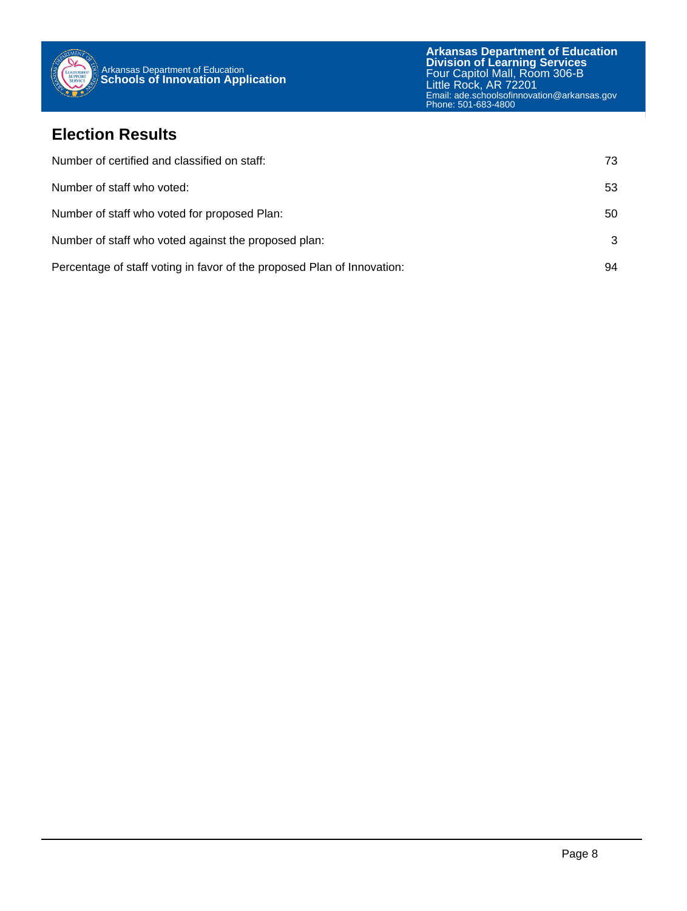

#### **Election Results**

| Number of certified and classified on staff:                            | 73. |
|-------------------------------------------------------------------------|-----|
| Number of staff who voted:                                              | 53  |
| Number of staff who voted for proposed Plan:                            | 50  |
| Number of staff who voted against the proposed plan:                    | 3   |
| Percentage of staff voting in favor of the proposed Plan of Innovation: | 94  |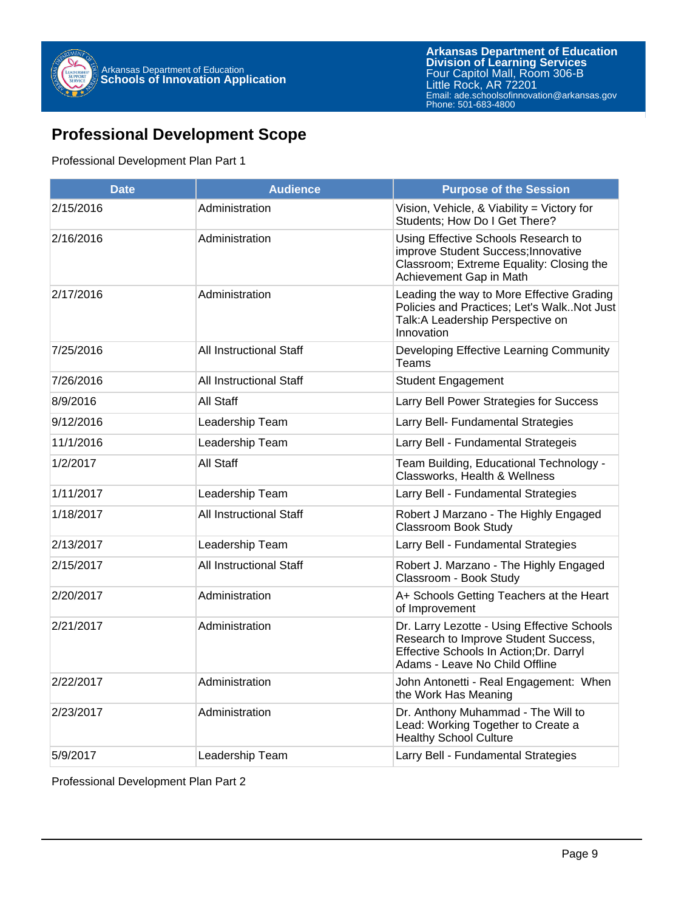

#### **Professional Development Scope**

#### Professional Development Plan Part 1

| <b>Date</b> | <b>Audience</b>         | <b>Purpose of the Session</b>                                                                                                                                    |
|-------------|-------------------------|------------------------------------------------------------------------------------------------------------------------------------------------------------------|
| 2/15/2016   | Administration          | Vision, Vehicle, & Viability = Victory for<br>Students; How Do I Get There?                                                                                      |
| 2/16/2016   | Administration          | Using Effective Schools Research to<br>improve Student Success; Innovative<br>Classroom; Extreme Equality: Closing the<br>Achievement Gap in Math                |
| 2/17/2016   | Administration          | Leading the way to More Effective Grading<br>Policies and Practices; Let's WalkNot Just<br>Talk: A Leadership Perspective on<br>Innovation                       |
| 7/25/2016   | All Instructional Staff | Developing Effective Learning Community<br>Teams                                                                                                                 |
| 7/26/2016   | All Instructional Staff | <b>Student Engagement</b>                                                                                                                                        |
| 8/9/2016    | All Staff               | Larry Bell Power Strategies for Success                                                                                                                          |
| 9/12/2016   | Leadership Team         | Larry Bell- Fundamental Strategies                                                                                                                               |
| 11/1/2016   | Leadership Team         | Larry Bell - Fundamental Strategeis                                                                                                                              |
| 1/2/2017    | All Staff               | Team Building, Educational Technology -<br>Classworks, Health & Wellness                                                                                         |
| 1/11/2017   | Leadership Team         | Larry Bell - Fundamental Strategies                                                                                                                              |
| 1/18/2017   | All Instructional Staff | Robert J Marzano - The Highly Engaged<br><b>Classroom Book Study</b>                                                                                             |
| 2/13/2017   | Leadership Team         | Larry Bell - Fundamental Strategies                                                                                                                              |
| 2/15/2017   | All Instructional Staff | Robert J. Marzano - The Highly Engaged<br>Classroom - Book Study                                                                                                 |
| 2/20/2017   | Administration          | A+ Schools Getting Teachers at the Heart<br>of Improvement                                                                                                       |
| 2/21/2017   | Administration          | Dr. Larry Lezotte - Using Effective Schools<br>Research to Improve Student Success,<br>Effective Schools In Action; Dr. Darryl<br>Adams - Leave No Child Offline |
| 2/22/2017   | Administration          | John Antonetti - Real Engagement: When<br>the Work Has Meaning                                                                                                   |
| 2/23/2017   | Administration          | Dr. Anthony Muhammad - The Will to<br>Lead: Working Together to Create a<br><b>Healthy School Culture</b>                                                        |
| 5/9/2017    | Leadership Team         | Larry Bell - Fundamental Strategies                                                                                                                              |

Professional Development Plan Part 2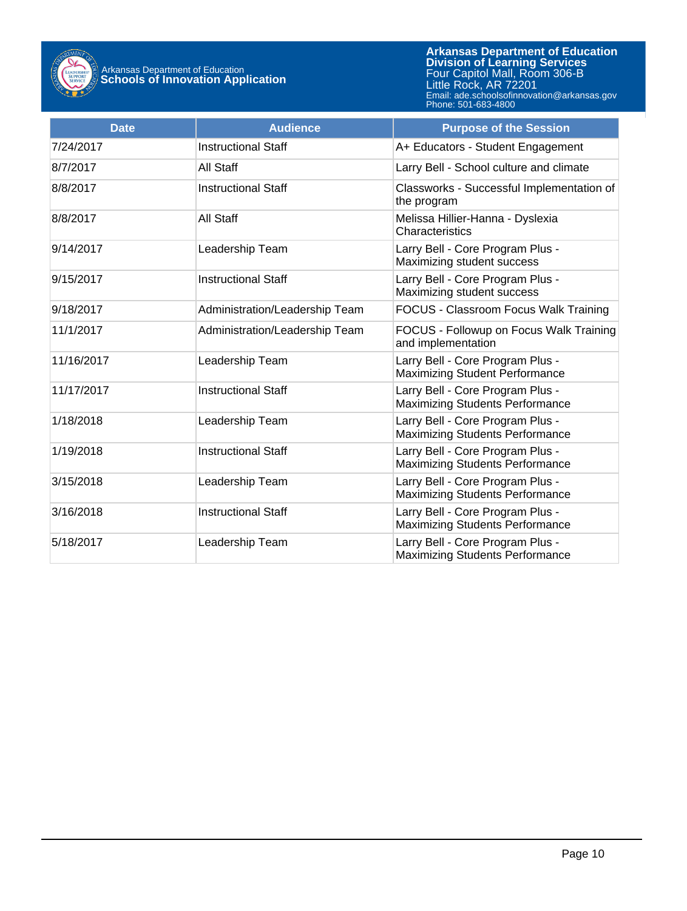

**Arkansas Department of Education** Email: ade.schoolsofinnovation@arkansas.gov **Division of Learning Services** Four Capitol Mall, Room 306-B Little Rock, AR 72201 Phone: 501-683-4800

| <b>Date</b> | <b>Audience</b>                | <b>Purpose of the Session</b>                                              |  |
|-------------|--------------------------------|----------------------------------------------------------------------------|--|
| 7/24/2017   | <b>Instructional Staff</b>     | A+ Educators - Student Engagement                                          |  |
| 8/7/2017    | All Staff                      | Larry Bell - School culture and climate                                    |  |
| 8/8/2017    | <b>Instructional Staff</b>     | Classworks - Successful Implementation of<br>the program                   |  |
| 8/8/2017    | All Staff                      | Melissa Hillier-Hanna - Dyslexia<br>Characteristics                        |  |
| 9/14/2017   | Leadership Team                | Larry Bell - Core Program Plus -<br>Maximizing student success             |  |
| 9/15/2017   | <b>Instructional Staff</b>     | Larry Bell - Core Program Plus -<br>Maximizing student success             |  |
| 9/18/2017   | Administration/Leadership Team | FOCUS - Classroom Focus Walk Training                                      |  |
| 11/1/2017   | Administration/Leadership Team | FOCUS - Followup on Focus Walk Training<br>and implementation              |  |
| 11/16/2017  | Leadership Team                | Larry Bell - Core Program Plus -<br><b>Maximizing Student Performance</b>  |  |
| 11/17/2017  | <b>Instructional Staff</b>     | Larry Bell - Core Program Plus -<br><b>Maximizing Students Performance</b> |  |
| 1/18/2018   | Leadership Team                | Larry Bell - Core Program Plus -<br><b>Maximizing Students Performance</b> |  |
| 1/19/2018   | <b>Instructional Staff</b>     | Larry Bell - Core Program Plus -<br><b>Maximizing Students Performance</b> |  |
| 3/15/2018   | Leadership Team                | Larry Bell - Core Program Plus -<br><b>Maximizing Students Performance</b> |  |
| 3/16/2018   | <b>Instructional Staff</b>     | Larry Bell - Core Program Plus -<br><b>Maximizing Students Performance</b> |  |
| 5/18/2017   | Leadership Team                | Larry Bell - Core Program Plus -<br><b>Maximizing Students Performance</b> |  |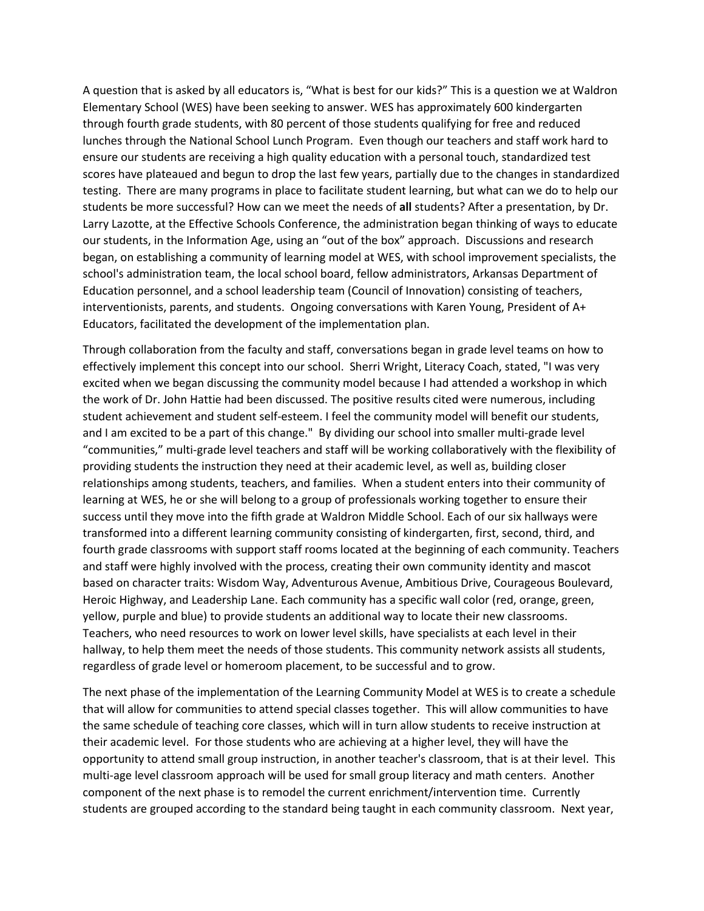A question that is asked by all educators is, "What is best for our kids?" This is a question we at Waldron Elementary School (WES) have been seeking to answer. WES has approximately 600 kindergarten through fourth grade students, with 80 percent of those students qualifying for free and reduced lunches through the National School Lunch Program. Even though our teachers and staff work hard to ensure our students are receiving a high quality education with a personal touch, standardized test scores have plateaued and begun to drop the last few years, partially due to the changes in standardized testing. There are many programs in place to facilitate student learning, but what can we do to help our students be more successful? How can we meet the needs of **all** students? After a presentation, by Dr. Larry Lazotte, at the Effective Schools Conference, the administration began thinking of ways to educate our students, in the Information Age, using an "out of the box" approach. Discussions and research began, on establishing a community of learning model at WES, with school improvement specialists, the school's administration team, the local school board, fellow administrators, Arkansas Department of Education personnel, and a school leadership team (Council of Innovation) consisting of teachers, interventionists, parents, and students. Ongoing conversations with Karen Young, President of A+ Educators, facilitated the development of the implementation plan.

Through collaboration from the faculty and staff, conversations began in grade level teams on how to effectively implement this concept into our school. Sherri Wright, Literacy Coach, stated, "I was very excited when we began discussing the community model because I had attended a workshop in which the work of Dr. John Hattie had been discussed. The positive results cited were numerous, including student achievement and student self-esteem. I feel the community model will benefit our students, and I am excited to be a part of this change." By dividing our school into smaller multi-grade level "communities," multi-grade level teachers and staff will be working collaboratively with the flexibility of providing students the instruction they need at their academic level, as well as, building closer relationships among students, teachers, and families. When a student enters into their community of learning at WES, he or she will belong to a group of professionals working together to ensure their success until they move into the fifth grade at Waldron Middle School. Each of our six hallways were transformed into a different learning community consisting of kindergarten, first, second, third, and fourth grade classrooms with support staff rooms located at the beginning of each community. Teachers and staff were highly involved with the process, creating their own community identity and mascot based on character traits: Wisdom Way, Adventurous Avenue, Ambitious Drive, Courageous Boulevard, Heroic Highway, and Leadership Lane. Each community has a specific wall color (red, orange, green, yellow, purple and blue) to provide students an additional way to locate their new classrooms. Teachers, who need resources to work on lower level skills, have specialists at each level in their hallway, to help them meet the needs of those students. This community network assists all students, regardless of grade level or homeroom placement, to be successful and to grow.

The next phase of the implementation of the Learning Community Model at WES is to create a schedule that will allow for communities to attend special classes together. This will allow communities to have the same schedule of teaching core classes, which will in turn allow students to receive instruction at their academic level. For those students who are achieving at a higher level, they will have the opportunity to attend small group instruction, in another teacher's classroom, that is at their level. This multi-age level classroom approach will be used for small group literacy and math centers. Another component of the next phase is to remodel the current enrichment/intervention time. Currently students are grouped according to the standard being taught in each community classroom. Next year,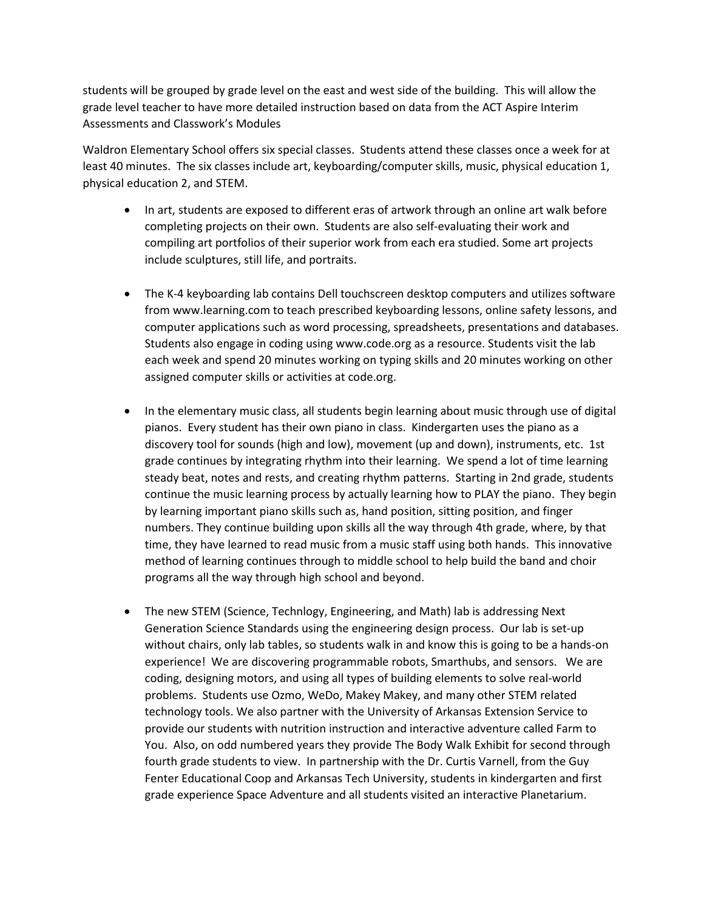students will be grouped by grade level on the east and west side of the building. This will allow the grade level teacher to have more detailed instruction based on data from the ACT Aspire Interim Assessments and Classwork's Modules

Waldron Elementary School offers six special classes. Students attend these classes once a week for at least 40 minutes. The six classes include art, keyboarding/computer skills, music, physical education 1, physical education 2, and STEM.

- In art, students are exposed to different eras of artwork through an online art walk before completing projects on their own. Students are also self-evaluating their work and compiling art portfolios of their superior work from each era studied. Some art projects include sculptures, still life, and portraits.
- The K-4 keyboarding lab contains Dell touchscreen desktop computers and utilizes software from www.learning.com to teach prescribed keyboarding lessons, online safety lessons, and computer applications such as word processing, spreadsheets, presentations and databases. Students also engage in coding using www.code.org as a resource. Students visit the lab each week and spend 20 minutes working on typing skills and 20 minutes working on other assigned computer skills or activities at code.org.
- In the elementary music class, all students begin learning about music through use of digital pianos. Every student has their own piano in class. Kindergarten uses the piano as a discovery tool for sounds (high and low), movement (up and down), instruments, etc. 1st grade continues by integrating rhythm into their learning. We spend a lot of time learning steady beat, notes and rests, and creating rhythm patterns. Starting in 2nd grade, students continue the music learning process by actually learning how to PLAY the piano. They begin by learning important piano skills such as, hand position, sitting position, and finger numbers. They continue building upon skills all the way through 4th grade, where, by that time, they have learned to read music from a music staff using both hands. This innovative method of learning continues through to middle school to help build the band and choir programs all the way through high school and beyond.
- The new STEM (Science, Technlogy, Engineering, and Math) lab is addressing Next Generation Science Standards using the engineering design process. Our lab is set-up without chairs, only lab tables, so students walk in and know this is going to be a hands-on experience! We are discovering programmable robots, Smarthubs, and sensors. We are coding, designing motors, and using all types of building elements to solve real-world problems. Students use Ozmo, WeDo, Makey Makey, and many other STEM related technology tools. We also partner with the University of Arkansas Extension Service to provide our students with nutrition instruction and interactive adventure called Farm to You. Also, on odd numbered years they provide The Body Walk Exhibit for second through fourth grade students to view. In partnership with the Dr. Curtis Varnell, from the Guy Fenter Educational Coop and Arkansas Tech University, students in kindergarten and first grade experience Space Adventure and all students visited an interactive Planetarium.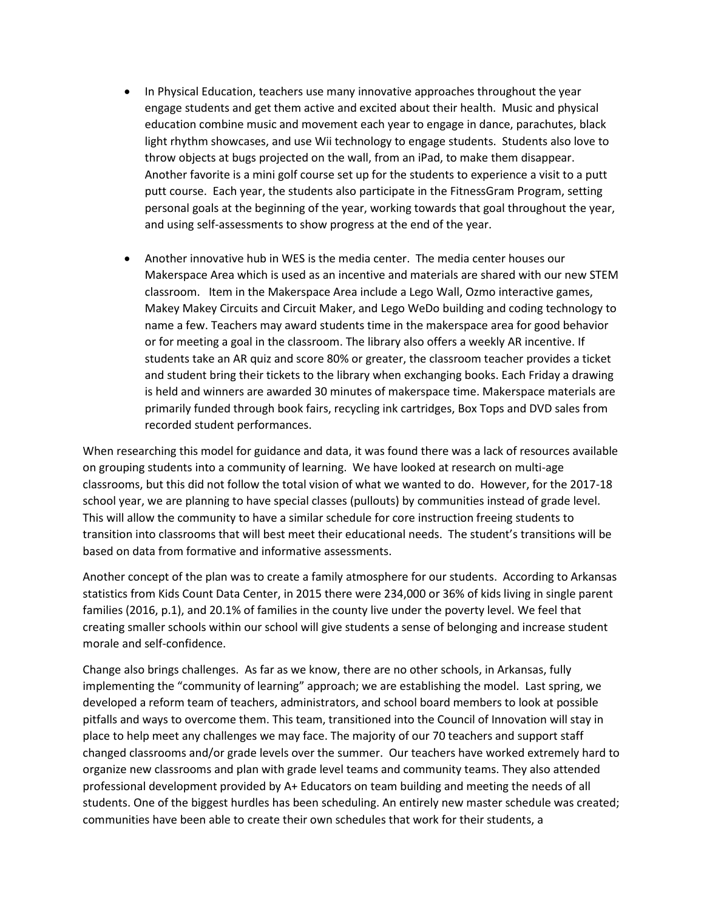- In Physical Education, teachers use many innovative approaches throughout the year engage students and get them active and excited about their health. Music and physical education combine music and movement each year to engage in dance, parachutes, black light rhythm showcases, and use Wii technology to engage students. Students also love to throw objects at bugs projected on the wall, from an iPad, to make them disappear. Another favorite is a mini golf course set up for the students to experience a visit to a putt putt course. Each year, the students also participate in the FitnessGram Program, setting personal goals at the beginning of the year, working towards that goal throughout the year, and using self-assessments to show progress at the end of the year.
- Another innovative hub in WES is the media center. The media center houses our Makerspace Area which is used as an incentive and materials are shared with our new STEM classroom. Item in the Makerspace Area include a Lego Wall, Ozmo interactive games, Makey Makey Circuits and Circuit Maker, and Lego WeDo building and coding technology to name a few. Teachers may award students time in the makerspace area for good behavior or for meeting a goal in the classroom. The library also offers a weekly AR incentive. If students take an AR quiz and score 80% or greater, the classroom teacher provides a ticket and student bring their tickets to the library when exchanging books. Each Friday a drawing is held and winners are awarded 30 minutes of makerspace time. Makerspace materials are primarily funded through book fairs, recycling ink cartridges, Box Tops and DVD sales from recorded student performances.

When researching this model for guidance and data, it was found there was a lack of resources available on grouping students into a community of learning. We have looked at research on multi-age classrooms, but this did not follow the total vision of what we wanted to do. However, for the 2017-18 school year, we are planning to have special classes (pullouts) by communities instead of grade level. This will allow the community to have a similar schedule for core instruction freeing students to transition into classrooms that will best meet their educational needs. The student's transitions will be based on data from formative and informative assessments.

Another concept of the plan was to create a family atmosphere for our students. According to Arkansas statistics from Kids Count Data Center, in 2015 there were 234,000 or 36% of kids living in single parent families (2016, p.1), and 20.1% of families in the county live under the poverty level. We feel that creating smaller schools within our school will give students a sense of belonging and increase student morale and self-confidence.

Change also brings challenges. As far as we know, there are no other schools, in Arkansas, fully implementing the "community of learning" approach; we are establishing the model. Last spring, we developed a reform team of teachers, administrators, and school board members to look at possible pitfalls and ways to overcome them. This team, transitioned into the Council of Innovation will stay in place to help meet any challenges we may face. The majority of our 70 teachers and support staff changed classrooms and/or grade levels over the summer. Our teachers have worked extremely hard to organize new classrooms and plan with grade level teams and community teams. They also attended professional development provided by A+ Educators on team building and meeting the needs of all students. One of the biggest hurdles has been scheduling. An entirely new master schedule was created; communities have been able to create their own schedules that work for their students, a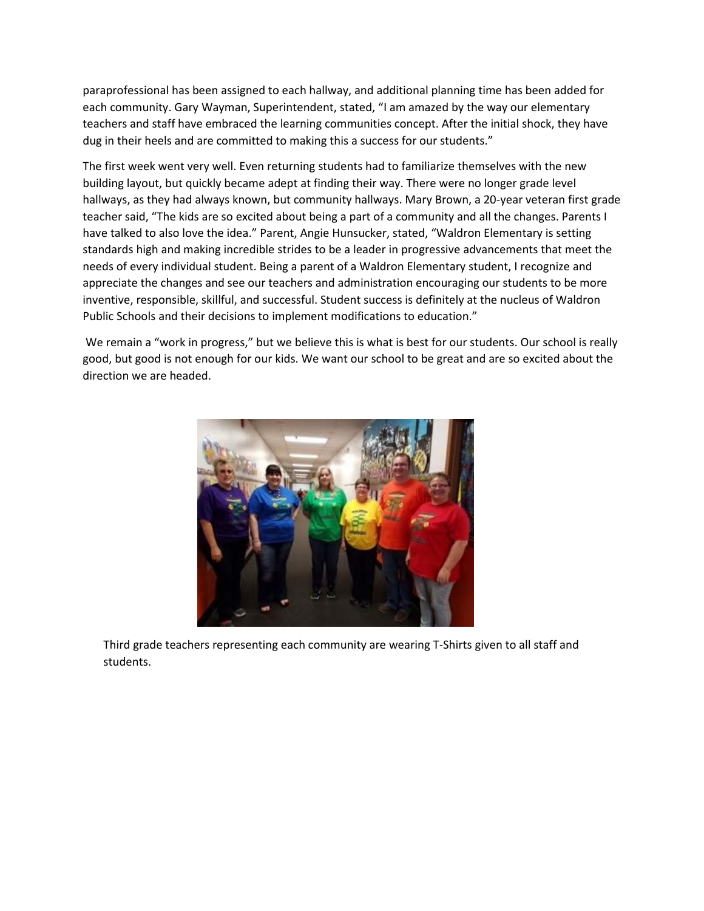paraprofessional has been assigned to each hallway, and additional planning time has been added for each community. Gary Wayman, Superintendent, stated, "I am amazed by the way our elementary teachers and staff have embraced the learning communities concept. After the initial shock, they have dug in their heels and are committed to making this a success for our students."

The first week went very well. Even returning students had to familiarize themselves with the new building layout, but quickly became adept at finding their way. There were no longer grade level hallways, as they had always known, but community hallways. Mary Brown, a 20-year veteran first grade teacher said, "The kids are so excited about being a part of a community and all the changes. Parents I have talked to also love the idea." Parent, Angie Hunsucker, stated, "Waldron Elementary is setting standards high and making incredible strides to be a leader in progressive advancements that meet the needs of every individual student. Being a parent of a Waldron Elementary student, I recognize and appreciate the changes and see our teachers and administration encouraging our students to be more inventive, responsible, skillful, and successful. Student success is definitely at the nucleus of Waldron Public Schools and their decisions to implement modifications to education."

We remain a "work in progress," but we believe this is what is best for our students. Our school is really good, but good is not enough for our kids. We want our school to be great and are so excited about the direction we are headed.



Third grade teachers representing each community are wearing T-Shirts given to all staff and students.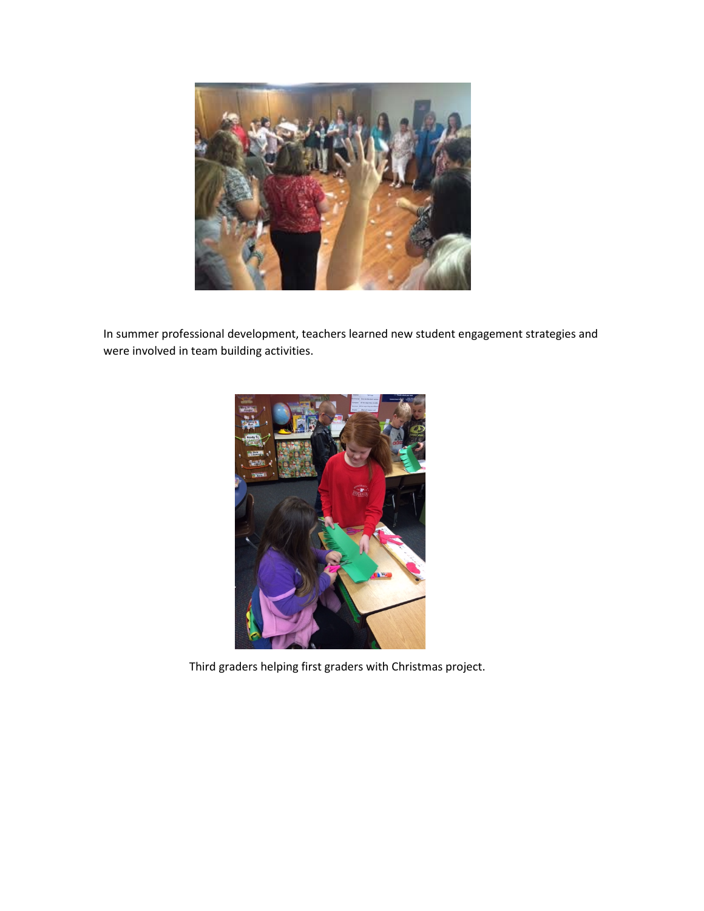

In summer professional development, teachers learned new student engagement strategies and were involved in team building activities.



Third graders helping first graders with Christmas project.